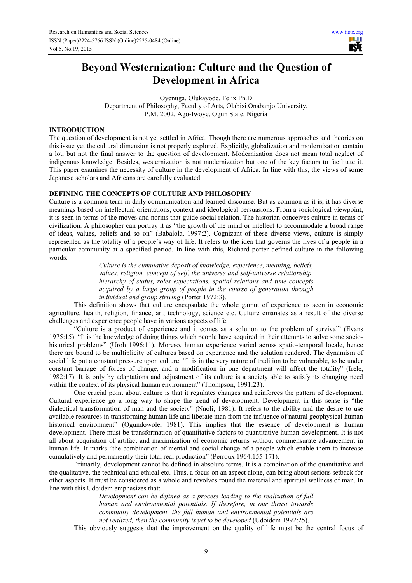# **Beyond Westernization: Culture and the Question of Development in Africa**

Oyenuga, Olukayode, Felix Ph.D Department of Philosophy, Faculty of Arts, Olabisi Onabanjo University, P.M. 2002, Ago-Iwoye, Ogun State, Nigeria

## **INTRODUCTION**

The question of development is not yet settled in Africa. Though there are numerous approaches and theories on this issue yet the cultural dimension is not properly explored. Explicitly, globalization and modernization contain a lot, but not the final answer to the question of development. Modernization does not mean total neglect of indigenous knowledge. Besides, westernization is not modernization but one of the key factors to facilitate it. This paper examines the necessity of culture in the development of Africa. In line with this, the views of some Japanese scholars and Africans are carefully evaluated.

## **DEFINING THE CONCEPTS OF CULTURE AND PHILOSOPHY**

Culture is a common term in daily communication and learned discourse. But as common as it is, it has diverse meanings based on intellectual orientations, context and ideological persuasions. From a sociological viewpoint, it is seen in terms of the moves and norms that guide social relation. The historian conceives culture in terms of civilization. A philosopher can portray it as "the growth of the mind or intellect to accommodate a broad range of ideas, values, beliefs and so on" (Babalola, 1997:2). Cognizant of these diverse views, culture is simply represented as the totality of a people's way of life. It refers to the idea that governs the lives of a people in a particular community at a specified period. In line with this, Richard porter defined culture in the following words:

> *Culture is the cumulative deposit of knowledge, experience, meaning, beliefs, values, religion, concept of self, the universe and self-universe relationship, hierarchy of status, roles expectations, spatial relations and time concepts acquired by a large group of people in the course of generation through individual and group striving* (Porter 1972:3).

This definition shows that culture encapsulate the whole gamut of experience as seen in economic agriculture, health, religion, finance, art, technology, science etc. Culture emanates as a result of the diverse challenges and experience people have in various aspects of life.

"Culture is a product of experience and it comes as a solution to the problem of survival" (Evans 1975:15). "It is the knowledge of doing things which people have acquired in their attempts to solve some sociohistorical problems" (Uroh 1996:11). Moreso, human experience varied across spatio-temporal locale, hence there are bound to be multiplicity of cultures based on experience and the solution rendered. The dynamism of social life put a constant pressure upon culture. "It is in the very nature of tradition to be vulnerable, to be under constant barrage of forces of change, and a modification in one department will affect the totality" (Irele, 1982:17). It is only by adaptations and adjustment of its culture is a society able to satisfy its changing need within the context of its physical human environment" (Thompson, 1991:23).

One crucial point about culture is that it regulates changes and reinforces the pattern of development. Cultural experience go a long way to shape the trend of development. Development in this sense is "the dialectical transformation of man and the society" (Nnoli, 1981). It refers to the ability and the desire to use available resources in transforming human life and liberate man from the influence of natural geophysical human historical environment" (Ogundowole, 1981). This implies that the essence of development is human development. There must be transformation of quantitative factors to quantitative human development. It is not all about acquisition of artifact and maximization of economic returns without commensurate advancement in human life. It marks "the combination of mental and social change of a people which enable them to increase cumulatively and permanently their total real production" (Perroux 1964:155-171).

Primarily, development cannot be defined in absolute terms. It is a combination of the quantitative and the qualitative, the technical and ethical etc. Thus, a focus on an aspect alone, can bring about serious setback for other aspects. It must be considered as a whole and revolves round the material and spiritual wellness of man. In line with this Udoidem emphasizes that:

> *Development can be defined as a process leading to the realization of full human and environmental potentials. If therefore, in our thrust towards community development, the full human and environmental potentials are not realized, then the community is yet to be developed* (Udoidem 1992:25).

This obviously suggests that the improvement on the quality of life must be the central focus of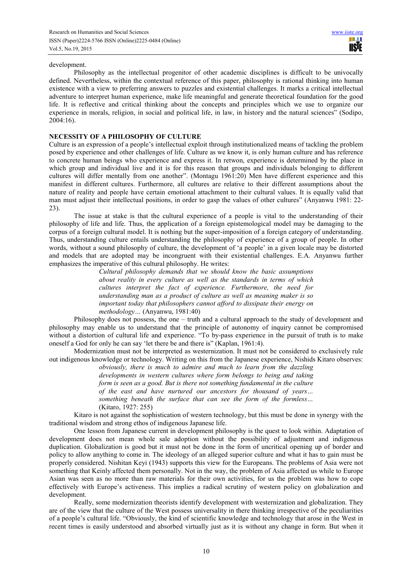#### development.

Philosophy as the intellectual progenitor of other academic disciplines is difficult to be univocally defined. Nevertheless, within the contextual reference of this paper, philosophy is rational thinking into human existence with a view to preferring answers to puzzles and existential challenges. It marks a critical intellectual adventure to interpret human experience, make life meaningful and generate theoretical foundation for the good life. It is reflective and critical thinking about the concepts and principles which we use to organize our experience in morals, religion, in social and political life, in law, in history and the natural sciences" (Sodipo, 2004:16).

# **NECESSITY OF A PHILOSOPHY OF CULTURE**

Culture is an expression of a people's intellectual exploit through institutionalized means of tackling the problem posed by experience and other challenges of life. Culture as we know it, is only human culture and has reference to concrete human beings who experience and express it. In retwon, experience is determined by the place in which group and individual live and it is for this reason that groups and individuals belonging to different cultures will differ mentally from one another". (Montagu 1961:20) Men have different experience and this manifest in different cultures. Furthermore, all cultures are relative to their different assumptions about the nature of reality and people have certain emotional attachment to their cultural values. It is equally valid that man must adjust their intellectual positions, in order to gasp the values of other cultures" (Anyanwu 1981: 22- 23).

The issue at stake is that the cultural experience of a people is vital to the understanding of their philosophy of life and life. Thus, the application of a foreign epistemological model may be damaging to the corpus of a foreign cultural model. It is nothing but the super-imposition of a foreign category of understanding. Thus, understanding culture entails understanding the philosophy of experience of a group of people. In other words, without a sound philosophy of culture, the development of 'a people' in a given locale may be distorted and models that are adopted may be incongruent with their existential challenges. E.A. Anyanwu further emphasizes the imperative of this cultural philosophy. He writes:

> *Cultural philosophy demands that we should know the basic assumptions about reality in every culture as well as the standards in terms of which cultures interpret the fact of experience. Furthermore, the need for understanding man as a product of culture as well as meaning maker is so important today that philosophers cannot afford to dissipate their energy on methodology…* (Anyanwu, 1981:40)

Philosophy does not possess, the one – truth and a cultural approach to the study of development and philosophy may enable us to understand that the principle of autonomy of inquiry cannot be compromised without a distortion of cultural life and experience. "To by-pass experience in the pursuit of truth is to make oneself a God for only he can say 'let there be and there is" (Kaplan, 1961:4).

Modernization must not be interpreted as westernization. It must not be considered to exclusively rule out indigenous knowledge or technology. Writing on this from the Japanese experience, Nishids Kitaro observes:

*obviously, there is much to admire and much to learn from the dazzling developments in western cultures where form belongs to being and taking form is seen as a good. But is there not something fundamental in the culture of the east and have nurtured our ancestors for thousand of years… something beneath the surface that can see the form of the formless…* (Kitaro, 1927: 255)

Kitaro is not against the sophistication of western technology, but this must be done in synergy with the traditional wisdom and strong ethos of indigenous Japanese life.

One lesson from Japanese current in development philosophy is the quest to look within. Adaptation of development does not mean whole sale adoption without the possibility of adjustment and indigenous duplication. Globalization is good but it must not be done in the form of uncritical opening up of border and policy to allow anything to come in. The ideology of an alleged superior culture and what it has to gain must be properly considered. Nishitan Keyi (1943) supports this view for the Europeans. The problems of Asia were not something that Keinly affected them personally. Not in the way, the problem of Asia affected us while to Europe Asian was seen as no more than raw materials for their own activities, for us the problem was how to cope effectively with Europe's activeness. This implies a radical scrutiny of western policy on globalization and development.

Really, some modernization theorists identify development with westernization and globalization. They are of the view that the culture of the West possess universality in there thinking irrespective of the peculiarities of a people's cultural life. "Obviously, the kind of scientific knowledge and technology that arose in the West in recent times is easily understood and absorbed virtually just as it is without any change in form. But when it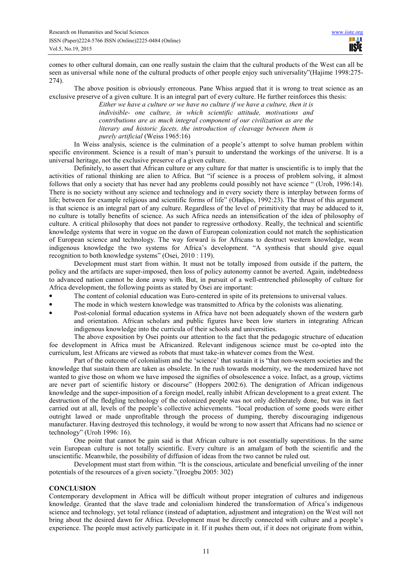comes to other cultural domain, can one really sustain the claim that the cultural products of the West can all be seen as universal while none of the cultural products of other people enjoy such universality"(Hajime 1998:275- 274).

The above position is obviously erroneous. Pane Whiss argued that it is wrong to treat science as an exclusive preserve of a given culture. It is an integral part of every culture. He further reinforces this thesis:

*Either we have a culture or we have no culture if we have a culture, then it is indivisible- one culture, in which scientific attitude, motivations and contributions are as much integral component of our civilization as are the literary and historic facets, the introduction of cleavage between them is purely artificial* (Weiss 1965:16)

In Weiss analysis, science is the culmination of a people's attempt to solve human problem within specific environment. Science is a result of man's pursuit to understand the workings of the universe. It is a universal heritage, not the exclusive preserve of a given culture.

Definitely, to assert that African culture or any culture for that matter is unscientific is to imply that the activities of rational thinking are alien to Africa. But "if science is a process of problem solving, it almost follows that only a society that has never had any problems could possibly not have science " (Uroh, 1996:14). There is no society without any science and technology and in every society there is interplay between forms of life; between for example religious and scientific forms of life" (Oladipo, 1992:23). The thrust of this argument is that science is an integral part of any culture. Regardless of the level of primitivity that may be adduced to it, no culture is totally benefits of science. As such Africa needs an intensification of the idea of philosophy of culture. A critical philosophy that does not pander to regressive orthodoxy. Really, the technical and scientific knowledge systems that were in vogue on the dawn of European colonization could not match the sophistication of European science and technology. The way forward is for Africans to destruct western knowledge, wean indigenous knowledge the two systems for Africa's development. "A synthesis that should give equal recognition to both knowledge systems" (Osei, 2010 : 119).

Development must start from within. It must not be totally imposed from outside if the pattern, the policy and the artifacts are super-imposed, then loss of policy autonomy cannot be averted. Again, indebtedness to advanced nation cannot be done away with. But, in pursuit of a well-entrenched philosophy of culture for Africa development, the following points as stated by Osei are important:

- The content of colonial education was Euro-centered in spite of its pretensions to universal values.
- The mode in which western knowledge was transmitted to Africa by the colonists was alienating.
- Post-colonial formal education systems in Africa have not been adequately shown of the western garb and orientation. African scholars and public figures have been low starters in integrating African indigenous knowledge into the curricula of their schools and universities.

The above exposition by Osei points our attention to the fact that the pedagogic structure of education foe development in Africa must be Africanized. Relevant indigenous science must be co-opted into the curriculum, lest Africans are viewed as robots that must take-in whatever comes from the West.

Part of the outcome of colonialism and the 'science' that sustain it is "that non-western societies and the knowledge that sustain them are taken as obsolete. In the rush towards modernity, we the modernized have not wanted to give those on whom we have imposed the signifies of obsolescence a voice. Infact, as a group, victims are never part of scientific history or discourse" (Hoppers 2002:6). The denigration of African indigenous knowledge and the super-imposition of a foreign model, really inhibit African development to a great extent. The destruction of the fledgling technology of the colonized people was not only deliberately done, but was in fact carried out at all, levels of the people's collective achievements. "local production of some goods were either outright lawed or made unprofitable through the process of dumping, thereby discouraging indigenous manufacturer. Having destroyed this technology, it would be wrong to now assert that Africans had no science or technology" (Uroh 1996: 16).

One point that cannot be gain said is that African culture is not essentially superstitious. In the same vein European culture is not totally scientific. Every culture is an amalgam of both the scientific and the unscientific. Meanwhile, the possibility of diffusion of ideas from the two cannot be ruled out.

Development must start from within. "It is the conscious, articulate and beneficial unveiling of the inner potentials of the resources of a given society."(Iroegbu 2005: 302)

# **CONCLUSION**

Contemporary development in Africa will be difficult without proper integration of cultures and indigenous knowledge. Granted that the slave trade and colonialism hindered the transformation of Africa's indigenous science and technology, yet total reliance (instead of adaptation, adjustment and integration) on the West will not bring about the desired dawn for Africa. Development must be directly connected with culture and a people's experience. The people must actively participate in it. If it pushes them out, if it does not originate from within,